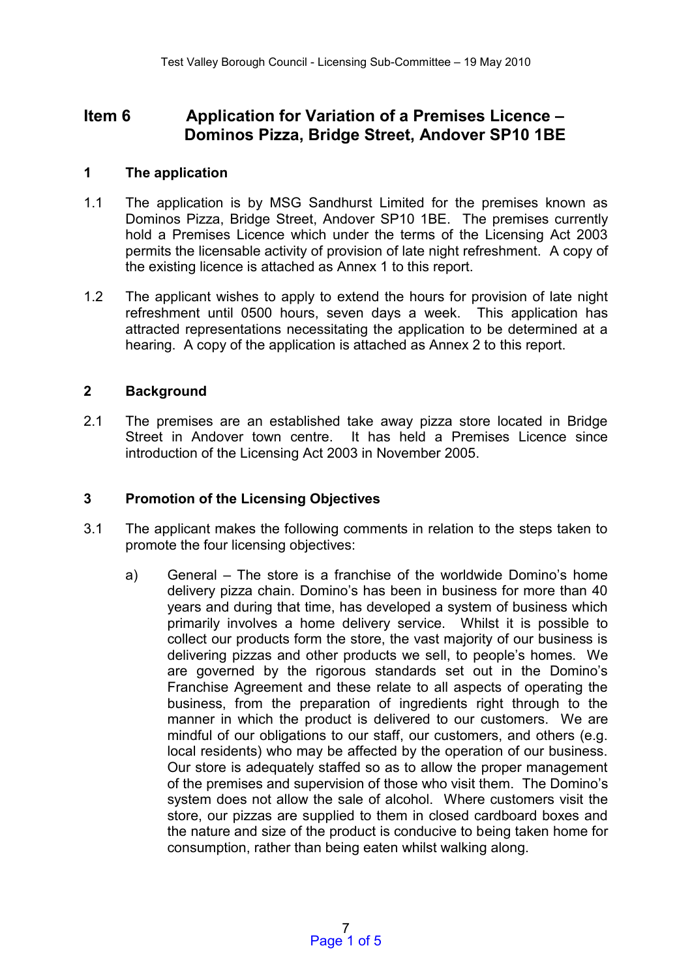# **Item 6 Application for Variation of a Premises Licence – Dominos Pizza, Bridge Street, Andover SP10 1BE**

### **1 The application**

- 1.1 The application is by MSG Sandhurst Limited for the premises known as Dominos Pizza, Bridge Street, Andover SP10 1BE. The premises currently hold a Premises Licence which under the terms of the Licensing Act 2003 permits the licensable activity of provision of late night refreshment. A copy of the existing licence is attached as Annex 1 to this report.
- 1.2 The applicant wishes to apply to extend the hours for provision of late night refreshment until 0500 hours, seven days a week. This application has attracted representations necessitating the application to be determined at a hearing. A copy of the application is attached as Annex 2 to this report.

## **2 Background**

2.1 The premises are an established take away pizza store located in Bridge Street in Andover town centre. It has held a Premises Licence since introduction of the Licensing Act 2003 in November 2005.

## **3 Promotion of the Licensing Objectives**

- 3.1 The applicant makes the following comments in relation to the steps taken to promote the four licensing objectives:
	- a) General The store is a franchise of the worldwide Domino's home delivery pizza chain. Domino's has been in business for more than 40 years and during that time, has developed a system of business which primarily involves a home delivery service. Whilst it is possible to collect our products form the store, the vast majority of our business is delivering pizzas and other products we sell, to people's homes. We are governed by the rigorous standards set out in the Domino's Franchise Agreement and these relate to all aspects of operating the business, from the preparation of ingredients right through to the manner in which the product is delivered to our customers. We are mindful of our obligations to our staff, our customers, and others (e.g. local residents) who may be affected by the operation of our business. Our store is adequately staffed so as to allow the proper management of the premises and supervision of those who visit them. The Domino's system does not allow the sale of alcohol. Where customers visit the store, our pizzas are supplied to them in closed cardboard boxes and the nature and size of the product is conducive to being taken home for consumption, rather than being eaten whilst walking along.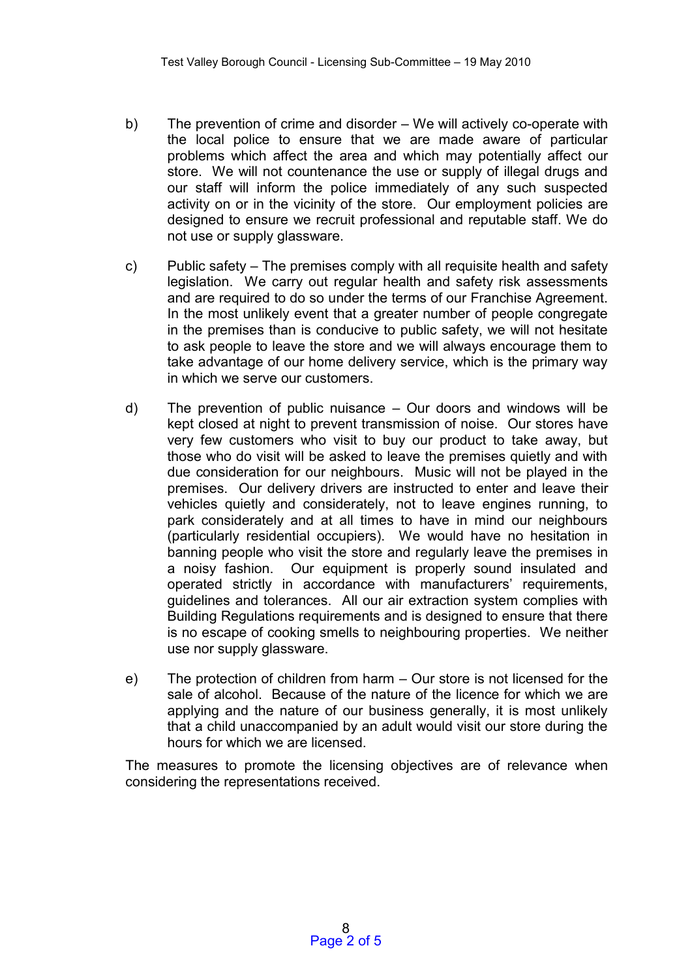- b) The prevention of crime and disorder We will actively co-operate with the local police to ensure that we are made aware of particular problems which affect the area and which may potentially affect our store. We will not countenance the use or supply of illegal drugs and our staff will inform the police immediately of any such suspected activity on or in the vicinity of the store. Our employment policies are designed to ensure we recruit professional and reputable staff. We do not use or supply glassware.
- c) Public safety The premises comply with all requisite health and safety legislation. We carry out regular health and safety risk assessments and are required to do so under the terms of our Franchise Agreement. In the most unlikely event that a greater number of people congregate in the premises than is conducive to public safety, we will not hesitate to ask people to leave the store and we will always encourage them to take advantage of our home delivery service, which is the primary way in which we serve our customers.
- d) The prevention of public nuisance Our doors and windows will be kept closed at night to prevent transmission of noise. Our stores have very few customers who visit to buy our product to take away, but those who do visit will be asked to leave the premises quietly and with due consideration for our neighbours. Music will not be played in the premises. Our delivery drivers are instructed to enter and leave their vehicles quietly and considerately, not to leave engines running, to park considerately and at all times to have in mind our neighbours (particularly residential occupiers). We would have no hesitation in banning people who visit the store and regularly leave the premises in a noisy fashion. Our equipment is properly sound insulated and operated strictly in accordance with manufacturers' requirements, guidelines and tolerances. All our air extraction system complies with Building Regulations requirements and is designed to ensure that there is no escape of cooking smells to neighbouring properties. We neither use nor supply glassware.
- e) The protection of children from harm Our store is not licensed for the sale of alcohol. Because of the nature of the licence for which we are applying and the nature of our business generally, it is most unlikely that a child unaccompanied by an adult would visit our store during the hours for which we are licensed.

The measures to promote the licensing objectives are of relevance when considering the representations received.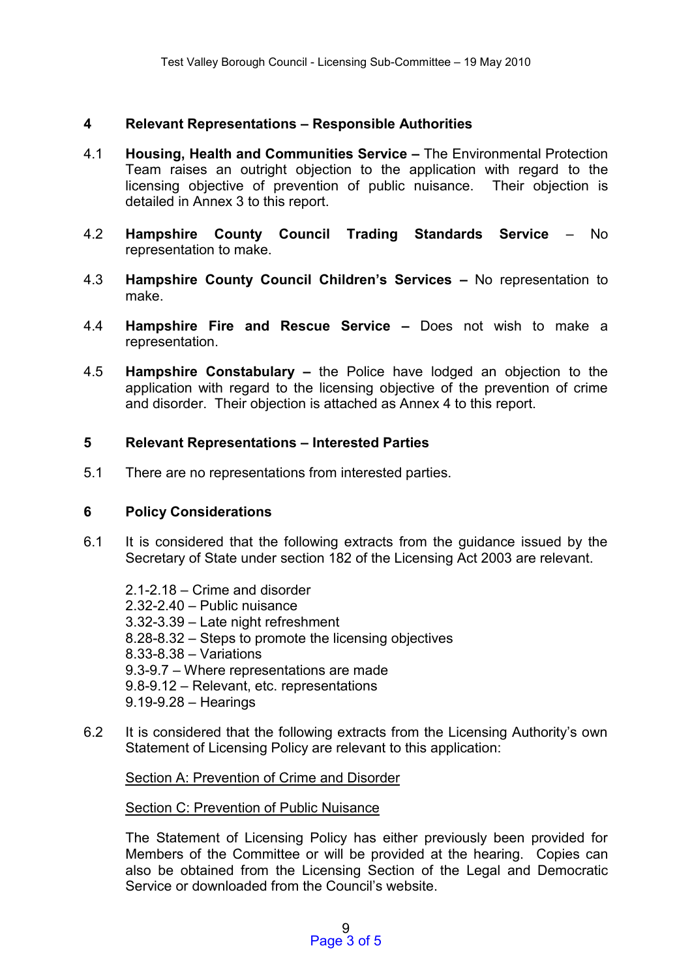### **4 Relevant Representations – Responsible Authorities**

- 4.1 **Housing, Health and Communities Service –** The Environmental Protection Team raises an outright objection to the application with regard to the licensing objective of prevention of public nuisance. Their objection is detailed in Annex 3 to this report.
- 4.2 **Hampshire County Council Trading Standards Service** No representation to make.
- 4.3 **Hampshire County Council Children's Services –** No representation to make.
- 4.4 **Hampshire Fire and Rescue Service –** Does not wish to make a representation.
- 4.5 **Hampshire Constabulary –** the Police have lodged an objection to the application with regard to the licensing objective of the prevention of crime and disorder. Their objection is attached as Annex 4 to this report.

#### **5 Relevant Representations – Interested Parties**

5.1 There are no representations from interested parties.

#### **6 Policy Considerations**

6.1 It is considered that the following extracts from the guidance issued by the Secretary of State under section 182 of the Licensing Act 2003 are relevant.

2.1-2.18 – Crime and disorder 2.32-2.40 – Public nuisance 3.32-3.39 – Late night refreshment 8.28-8.32 – Steps to promote the licensing objectives 8.33-8.38 – Variations 9.3-9.7 – Where representations are made 9.8-9.12 – Relevant, etc. representations 9.19-9.28 – Hearings

6.2 It is considered that the following extracts from the Licensing Authority's own Statement of Licensing Policy are relevant to this application:

Section A: Prevention of Crime and Disorder

Section C: Prevention of Public Nuisance

The Statement of Licensing Policy has either previously been provided for Members of the Committee or will be provided at the hearing. Copies can also be obtained from the Licensing Section of the Legal and Democratic Service or downloaded from the Council's website.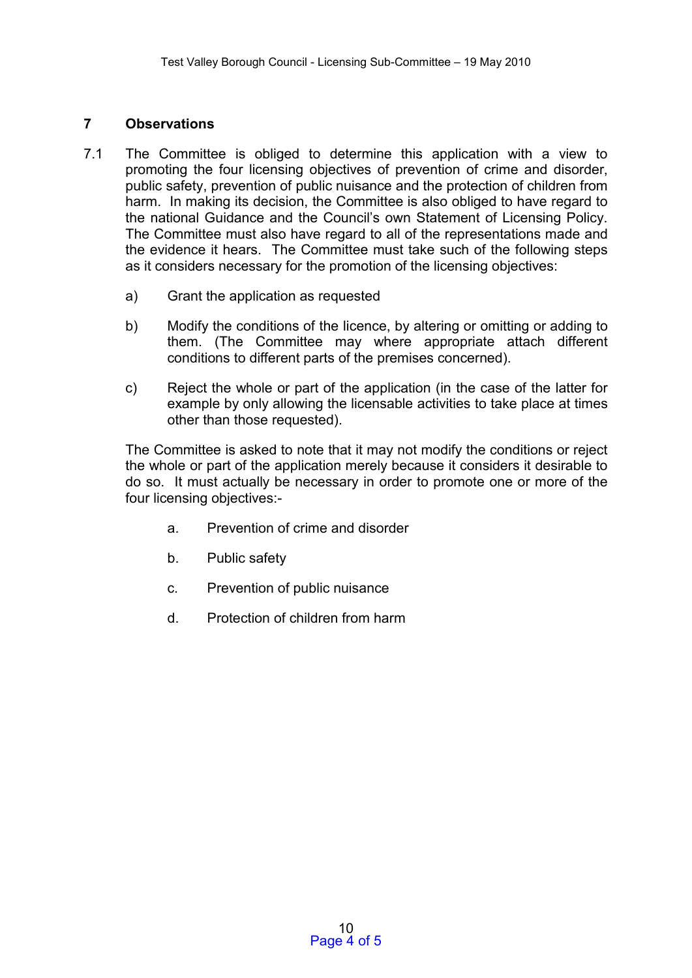## **7 Observations**

- 7.1 The Committee is obliged to determine this application with a view to promoting the four licensing objectives of prevention of crime and disorder, public safety, prevention of public nuisance and the protection of children from harm. In making its decision, the Committee is also obliged to have regard to the national Guidance and the Council's own Statement of Licensing Policy. The Committee must also have regard to all of the representations made and the evidence it hears. The Committee must take such of the following steps as it considers necessary for the promotion of the licensing objectives:
	- a) Grant the application as requested
	- b) Modify the conditions of the licence, by altering or omitting or adding to them. (The Committee may where appropriate attach different conditions to different parts of the premises concerned).
	- c) Reject the whole or part of the application (in the case of the latter for example by only allowing the licensable activities to take place at times other than those requested).

The Committee is asked to note that it may not modify the conditions or reject the whole or part of the application merely because it considers it desirable to do so. It must actually be necessary in order to promote one or more of the four licensing objectives:-

- a. Prevention of crime and disorder
- b. Public safety
- c. Prevention of public nuisance
- d. Protection of children from harm